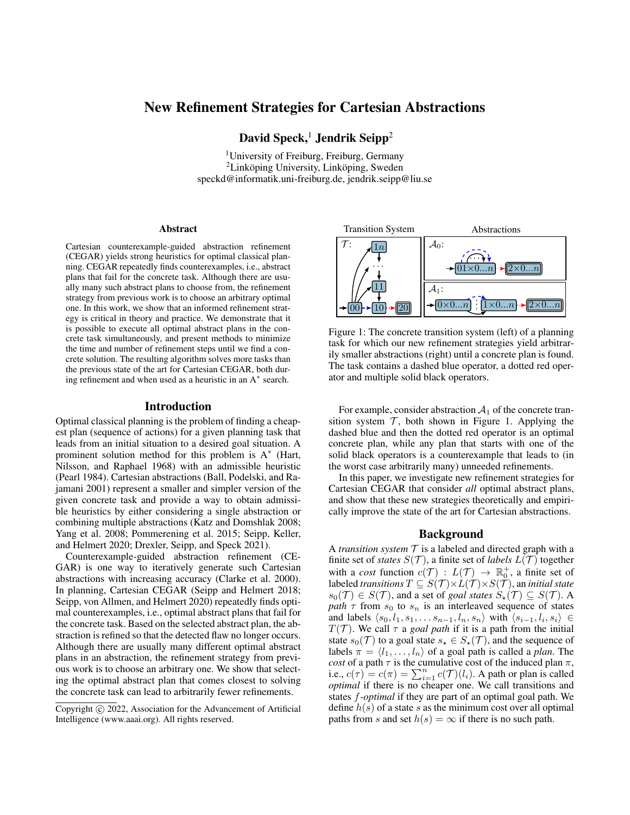# New Refinement Strategies for Cartesian Abstractions

David Speck,<sup>1</sup> Jendrik Seipp<sup>2</sup>

<sup>1</sup>University of Freiburg, Freiburg, Germany  ${}^{2}$ Linköping University, Linköping, Sweden speckd@informatik.uni-freiburg.de, jendrik.seipp@liu.se

### Abstract

Cartesian counterexample-guided abstraction refinement (CEGAR) yields strong heuristics for optimal classical planning. CEGAR repeatedly finds counterexamples, i.e., abstract plans that fail for the concrete task. Although there are usually many such abstract plans to choose from, the refinement strategy from previous work is to choose an arbitrary optimal one. In this work, we show that an informed refinement strategy is critical in theory and practice. We demonstrate that it is possible to execute all optimal abstract plans in the concrete task simultaneously, and present methods to minimize the time and number of refinement steps until we find a concrete solution. The resulting algorithm solves more tasks than the previous state of the art for Cartesian CEGAR, both during refinement and when used as a heuristic in an A<sup>∗</sup> search.

#### Introduction

Optimal classical planning is the problem of finding a cheapest plan (sequence of actions) for a given planning task that leads from an initial situation to a desired goal situation. A prominent solution method for this problem is A<sup>\*</sup> (Hart, Nilsson, and Raphael 1968) with an admissible heuristic (Pearl 1984). Cartesian abstractions (Ball, Podelski, and Rajamani 2001) represent a smaller and simpler version of the given concrete task and provide a way to obtain admissible heuristics by either considering a single abstraction or combining multiple abstractions (Katz and Domshlak 2008; Yang et al. 2008; Pommerening et al. 2015; Seipp, Keller, and Helmert 2020; Drexler, Seipp, and Speck 2021).

Counterexample-guided abstraction refinement (CE-GAR) is one way to iteratively generate such Cartesian abstractions with increasing accuracy (Clarke et al. 2000). In planning, Cartesian CEGAR (Seipp and Helmert 2018; Seipp, von Allmen, and Helmert 2020) repeatedly finds optimal counterexamples, i.e., optimal abstract plans that fail for the concrete task. Based on the selected abstract plan, the abstraction is refined so that the detected flaw no longer occurs. Although there are usually many different optimal abstract plans in an abstraction, the refinement strategy from previous work is to choose an arbitrary one. We show that selecting the optimal abstract plan that comes closest to solving the concrete task can lead to arbitrarily fewer refinements.



Figure 1: The concrete transition system (left) of a planning task for which our new refinement strategies yield arbitrarily smaller abstractions (right) until a concrete plan is found. The task contains a dashed blue operator, a dotted red operator and multiple solid black operators.

For example, consider abstraction  $A_1$  of the concrete transition system  $\mathcal{T}$ , both shown in Figure 1. Applying the dashed blue and then the dotted red operator is an optimal concrete plan, while any plan that starts with one of the solid black operators is a counterexample that leads to (in the worst case arbitrarily many) unneeded refinements.

In this paper, we investigate new refinement strategies for Cartesian CEGAR that consider *all* optimal abstract plans, and show that these new strategies theoretically and empirically improve the state of the art for Cartesian abstractions.

### Background

A *transition system*  $\mathcal T$  is a labeled and directed graph with a finite set of *states*  $S(\mathcal{T})$ , a finite set of *labels*  $L(\mathcal{T})$  together with a *cost* function  $c(\mathcal{T}) : L(\mathcal{T}) \to \mathbb{R}^+$ , a finite set of labeled *transitions*  $T \subseteq S(\mathcal{T}) \times L(\mathcal{T}) \times S(\mathcal{T})$ , an *initial state*  $s_0(\mathcal{T}) \in S(\mathcal{T})$ , and a set of *goal states*  $S_\star(\mathcal{T}) \subseteq S(\mathcal{T})$ . A *path*  $\tau$  from  $s_0$  to  $s_n$  is an interleaved sequence of states and labels  $\langle s_0, l_1, s_1, \ldots s_{n-1}, l_n, s_n \rangle$  with  $\langle s_{i-1}, l_i, s_i \rangle \in \mathbb{R}^{n}$  $T(\mathcal{T})$ . We call  $\tau$  a *goal path* if it is a path from the initial state  $s_0(\mathcal{T})$  to a goal state  $s_{\star} \in S_{\star}(\mathcal{T})$ , and the sequence of labels  $\pi = \langle l_1, \ldots, l_n \rangle$  of a goal path is called a *plan*. The *cost* of a path  $\tau$  is the cumulative cost of the induced plan  $\pi$ , i.e.,  $c(\tau) = c(\pi) = \sum_{i=1}^{n} c(\tau) (l_i)$ . A path or plan is called *optimal* if there is no cheaper one. We call transitions and states f*-optimal* if they are part of an optimal goal path. We define  $h(s)$  of a state s as the minimum cost over all optimal paths from s and set  $h(s) = \infty$  if there is no such path.

Copyright  $\odot$  2022, Association for the Advancement of Artificial Intelligence (www.aaai.org). All rights reserved.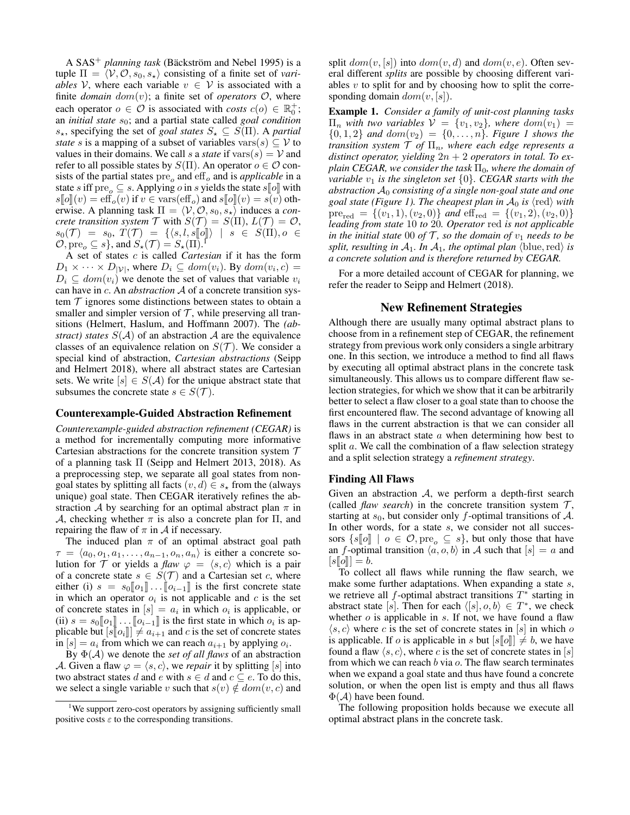A  $SAS^+$  *planning task* (Bäckström and Nebel 1995) is a tuple  $\Pi = \langle V, O, s_0, s_* \rangle$  consisting of a finite set of *variables* V, where each variable  $v \in V$  is associated with a finite *domain*  $dom(v)$ ; a finite set of *operators*  $O$ , where each operator  $o \in \mathcal{O}$  is associated with *costs*  $c(o) \in \mathbb{R}_0^+$ ; an *initial state*  $s_0$ ; and a partial state called *goal condition*  $s_{\star}$ , specifying the set of *goal states*  $S_{\star} \subseteq S(\Pi)$ . A *partial state* s is a mapping of a subset of variables vars $(s) \subset V$  to values in their domains. We call s a *state* if  $vars(s) = V$  and refer to all possible states by  $S(\Pi)$ . An operator  $o \in \mathcal{O}$  consists of the partial states  $pre<sub>o</sub>$  and  $eff<sub>o</sub>$  and is *applicable* in a state s iff pre<sub>o</sub>  $\subseteq$  s. Applying o in s yields the state s[o] with  $s[\![o]\!](v) = \text{eff}_o(v)$  if  $v \in \text{vars}(\text{eff}_o)$  and  $s[\![o]\!](v) = s(v)$  otherwise. A planning task  $\Pi = \langle V, O, s_0, s_* \rangle$  induces a *concrete transition system*  $\mathcal{T}$  with  $S(\mathcal{T}) = S(\Pi), L(\mathcal{T}) = \mathcal{O}$ ,  $s_0(\mathcal{T}) = s_0, T(\mathcal{T}) = \{ \langle s, l, s[\![o]\!] \rangle \mid s \in S(\Pi), o \in$  $\mathcal{O}, \text{pre}_o \subseteq s$ , and  $S_\star(\mathcal{T}) = S_\star(\Pi)$ .

A set of states c is called *Cartesian* if it has the form  $D_1 \times \cdots \times D_{|\mathcal{V}|}$ , where  $D_i \subseteq dom(v_i)$ . By  $dom(v_i, c) =$  $D_i \subseteq dom(v_i)$  we denote the set of values that variable  $v_i$ can have in c. An *abstraction* A of a concrete transition system  $\tau$  ignores some distinctions between states to obtain a smaller and simpler version of  $\mathcal T$ , while preserving all transitions (Helmert, Haslum, and Hoffmann 2007). The *(abstract) states*  $S(A)$  of an abstraction A are the equivalence classes of an equivalence relation on  $S(\mathcal{T})$ . We consider a special kind of abstraction, *Cartesian abstractions* (Seipp and Helmert 2018), where all abstract states are Cartesian sets. We write  $[s] \in S(\mathcal{A})$  for the unique abstract state that subsumes the concrete state  $s \in S(\mathcal{T})$ .

### Counterexample-Guided Abstraction Refinement

*Counterexample-guided abstraction refinement (CEGAR)* is a method for incrementally computing more informative Cartesian abstractions for the concrete transition system  $T$ of a planning task Π (Seipp and Helmert 2013, 2018). As a preprocessing step, we separate all goal states from nongoal states by splitting all facts  $(v, d) \in s_*$  from the (always unique) goal state. Then CEGAR iteratively refines the abstraction A by searching for an optimal abstract plan  $\pi$  in A, checking whether  $\pi$  is also a concrete plan for  $\Pi$ , and repairing the flaw of  $\pi$  in  $\mathcal A$  if necessary.

The induced plan  $\pi$  of an optimal abstract goal path  $\tau = \langle a_0, o_1, a_1, \ldots, a_{n-1}, o_n, a_n \rangle$  is either a concrete solution for T or yields a *flaw*  $\varphi = \langle s, c \rangle$  which is a pair of a concrete state  $s \in S(\mathcal{T})$  and a Cartesian set c, where either (i)  $s = s_0[\![o_1]\!] \dots [\![o_{i-1}]\!]$  is the first concrete state in which an operator  $o_i$  is not applicable and c is the set of concrete states in  $[s] = a_i$  in which  $o_i$  is applicable, or (ii)  $s = s_0 [\![o_1]\!] \dots [\![o_{i-1}]\!]$  is the first state in which  $o_i$  is applicable but  $[s[\![o_1]\!] \neq a_{i+1}$  and c is the set of concrete states plicable but  $[s\llbracket o_i \rrbracket] \neq a_{i+1}$  and c is the set of concrete states in  $[s] = a_i$  from which we can reach  $a_{i+1}$  by applying  $o_i$ .

By Φ(A) we denote the *set of all flaws* of an abstraction A. Given a flaw  $\varphi = \langle s, c \rangle$ , we *repair* it by splitting [s] into two abstract states d and e with  $s \in d$  and  $c \subseteq e$ . To do this, we select a single variable v such that  $s(v) \notin dom(v, c)$  and split  $dom(v, [s])$  into  $dom(v, d)$  and  $dom(v, e)$ . Often several different *splits* are possible by choosing different variables  $v$  to split for and by choosing how to split the corresponding domain  $dom(v, [s])$ .

Example 1. *Consider a family of unit-cost planning tasks*  $\Pi_n$  with two variables  $V = \{v_1, v_2\}$ , where  $dom(v_1)$  ${0, 1, 2}$  *and*  $dom(v_2) = {0, ..., n}$ *. Figure 1 shows the transition system*  $\mathcal T$  *of*  $\Pi_n$ *, where each edge represents a distinct operator, yielding* 2n + 2 *operators in total. To explain CEGAR, we consider the task*  $\Pi_0$ *, where the domain of variable*  $v_1$  *is the singleton set*  $\{0\}$ *. CEGAR starts with the abstraction* A<sup>0</sup> *consisting of a single non-goal state and one goal state (Figure 1). The cheapest plan in*  $A_0$  *is*  $\langle \text{red} \rangle$  *with*  $pre_{red} = \{(v_1, 1), (v_2, 0)\}$  *and*  $eff_{red} = \{(v_1, 2), (v_2, 0)\}$ *leading from state* 10 *to* 20*. Operator* red *is not applicable in the initial state* 00 *of*  $\mathcal{T}$ *, so the domain of*  $v_1$  *needs to be split, resulting in*  $A_1$ *. In*  $A_1$ *, the optimal plan* (blue, red) *is a concrete solution and is therefore returned by CEGAR.*

For a more detailed account of CEGAR for planning, we refer the reader to Seipp and Helmert (2018).

#### New Refinement Strategies

Although there are usually many optimal abstract plans to choose from in a refinement step of CEGAR, the refinement strategy from previous work only considers a single arbitrary one. In this section, we introduce a method to find all flaws by executing all optimal abstract plans in the concrete task simultaneously. This allows us to compare different flaw selection strategies, for which we show that it can be arbitrarily better to select a flaw closer to a goal state than to choose the first encountered flaw. The second advantage of knowing all flaws in the current abstraction is that we can consider all flaws in an abstract state  $a$  when determining how best to split a. We call the combination of a flaw selection strategy and a split selection strategy a *refinement strategy*.

#### Finding All Flaws

Given an abstraction  $A$ , we perform a depth-first search (called *flaw search*) in the concrete transition system  $\mathcal{T}$ , starting at  $s_0$ , but consider only f-optimal transitions of A. In other words, for a state s, we consider not all successors  $\{s[\![o]\!] \mid o \in \mathcal{O}, \text{pre}_{o} \subseteq s\}$ , but only those that have an f-optimal transition  $\langle a, o, b \rangle$  in A such that  $[s] = a$  and  $[s\llbracket o \rrbracket] = b.$ 

To collect all flaws while running the flaw search, we make some further adaptations. When expanding a state s, we retrieve all  $f$ -optimal abstract transitions  $T^*$  starting in abstract state [s]. Then for each  $\langle [s], o, b \rangle \in T^*$ , we check whether  $o$  is applicable in  $s$ . If not, we have found a flaw  $\langle s, c \rangle$  where c is the set of concrete states in [s] in which o is applicable. If o is applicable in s but  $|s||\theta| \neq b$ , we have found a flaw  $\langle s, c \rangle$ , where c is the set of concrete states in [s] from which we can reach  $b$  via  $o$ . The flaw search terminates when we expand a goal state and thus have found a concrete solution, or when the open list is empty and thus all flaws  $\Phi(\mathcal{A})$  have been found.

The following proposition holds because we execute all optimal abstract plans in the concrete task.

<sup>&</sup>lt;sup>1</sup>We support zero-cost operators by assigning sufficiently small positive costs  $\varepsilon$  to the corresponding transitions.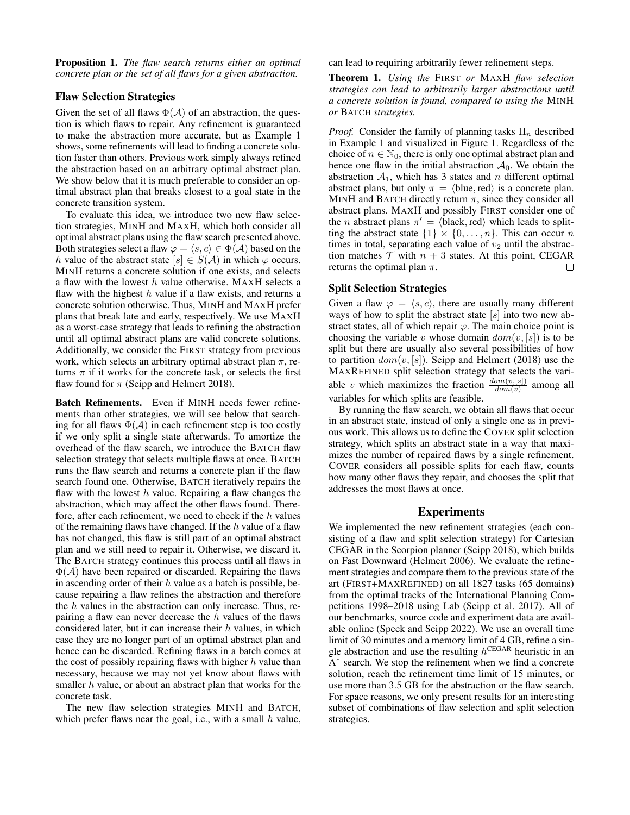Proposition 1. *The flaw search returns either an optimal concrete plan or the set of all flaws for a given abstraction.*

## Flaw Selection Strategies

Given the set of all flaws  $\Phi(\mathcal{A})$  of an abstraction, the question is which flaws to repair. Any refinement is guaranteed to make the abstraction more accurate, but as Example 1 shows, some refinements will lead to finding a concrete solution faster than others. Previous work simply always refined the abstraction based on an arbitrary optimal abstract plan. We show below that it is much preferable to consider an optimal abstract plan that breaks closest to a goal state in the concrete transition system.

To evaluate this idea, we introduce two new flaw selection strategies, MINH and MAXH, which both consider all optimal abstract plans using the flaw search presented above. Both strategies select a flaw  $\varphi = \langle s, c \rangle \in \Phi(\mathcal{A})$  based on the h value of the abstract state  $[s] \in S(\mathcal{A})$  in which  $\varphi$  occurs. MINH returns a concrete solution if one exists, and selects a flaw with the lowest  $h$  value otherwise. MAXH selects a flaw with the highest  $h$  value if a flaw exists, and returns a concrete solution otherwise. Thus, MINH and MAXH prefer plans that break late and early, respectively. We use MAXH as a worst-case strategy that leads to refining the abstraction until all optimal abstract plans are valid concrete solutions. Additionally, we consider the FIRST strategy from previous work, which selects an arbitrary optimal abstract plan  $\pi$ , returns  $\pi$  if it works for the concrete task, or selects the first flaw found for  $\pi$  (Seipp and Helmert 2018).

Batch Refinements. Even if MINH needs fewer refinements than other strategies, we will see below that searching for all flaws  $\Phi(\mathcal{A})$  in each refinement step is too costly if we only split a single state afterwards. To amortize the overhead of the flaw search, we introduce the BATCH flaw selection strategy that selects multiple flaws at once. BATCH runs the flaw search and returns a concrete plan if the flaw search found one. Otherwise, BATCH iteratively repairs the flaw with the lowest  $h$  value. Repairing a flaw changes the abstraction, which may affect the other flaws found. Therefore, after each refinement, we need to check if the  $h$  values of the remaining flaws have changed. If the  $h$  value of a flaw has not changed, this flaw is still part of an optimal abstract plan and we still need to repair it. Otherwise, we discard it. The BATCH strategy continues this process until all flaws in  $\Phi(A)$  have been repaired or discarded. Repairing the flaws in ascending order of their  $h$  value as a batch is possible, because repairing a flaw refines the abstraction and therefore the h values in the abstraction can only increase. Thus, repairing a flaw can never decrease the  $h$  values of the flaws considered later, but it can increase their  $h$  values, in which case they are no longer part of an optimal abstract plan and hence can be discarded. Refining flaws in a batch comes at the cost of possibly repairing flaws with higher  $h$  value than necessary, because we may not yet know about flaws with smaller  $h$  value, or about an abstract plan that works for the concrete task.

The new flaw selection strategies MINH and BATCH, which prefer flaws near the goal, i.e., with a small  $h$  value, can lead to requiring arbitrarily fewer refinement steps.

Theorem 1. *Using the* FIRST *or* MAXH *flaw selection strategies can lead to arbitrarily larger abstractions until a concrete solution is found, compared to using the* MINH *or* BATCH *strategies.*

*Proof.* Consider the family of planning tasks  $\Pi_n$  described in Example 1 and visualized in Figure 1. Regardless of the choice of  $n \in \mathbb{N}_0$ , there is only one optimal abstract plan and hence one flaw in the initial abstraction  $A_0$ . We obtain the abstraction  $A_1$ , which has 3 states and n different optimal abstract plans, but only  $\pi = \langle$ blue, red $\rangle$  is a concrete plan. MINH and BATCH directly return  $\pi$ , since they consider all abstract plans. MAXH and possibly FIRST consider one of the *n* abstract plans  $\pi' = \langle \text{black}, \text{red} \rangle$  which leads to splitting the abstract state  $\{1\} \times \{0, \ldots, n\}$ . This can occur n times in total, separating each value of  $v_2$  until the abstraction matches  $\mathcal T$  with  $n + 3$  states. At this point, CEGAR returns the optimal plan  $\pi$ . returns the optimal plan  $\pi$ .

## Split Selection Strategies

Given a flaw  $\varphi = \langle s, c \rangle$ , there are usually many different ways of how to split the abstract state  $[s]$  into two new abstract states, all of which repair  $\varphi$ . The main choice point is choosing the variable v whose domain  $dom(v, [s])$  is to be split but there are usually also several possibilities of how to partition  $dom(v, [s])$ . Seipp and Helmert (2018) use the MAXREFINED split selection strategy that selects the variable v which maximizes the fraction  $\frac{dom(v,[s])}{dom(v)}$  among all variables for which splits are feasible.

By running the flaw search, we obtain all flaws that occur in an abstract state, instead of only a single one as in previous work. This allows us to define the COVER split selection strategy, which splits an abstract state in a way that maximizes the number of repaired flaws by a single refinement. COVER considers all possible splits for each flaw, counts how many other flaws they repair, and chooses the split that addresses the most flaws at once.

## **Experiments**

We implemented the new refinement strategies (each consisting of a flaw and split selection strategy) for Cartesian CEGAR in the Scorpion planner (Seipp 2018), which builds on Fast Downward (Helmert 2006). We evaluate the refinement strategies and compare them to the previous state of the art (FIRST+MAXREFINED) on all 1827 tasks (65 domains) from the optimal tracks of the International Planning Competitions 1998–2018 using Lab (Seipp et al. 2017). All of our benchmarks, source code and experiment data are available online (Speck and Seipp 2022). We use an overall time limit of 30 minutes and a memory limit of 4 GB, refine a single abstraction and use the resulting  $h^{\text{CEGAR}}$  heuristic in an A<sup>\*</sup> search. We stop the refinement when we find a concrete solution, reach the refinement time limit of 15 minutes, or use more than 3.5 GB for the abstraction or the flaw search. For space reasons, we only present results for an interesting subset of combinations of flaw selection and split selection strategies.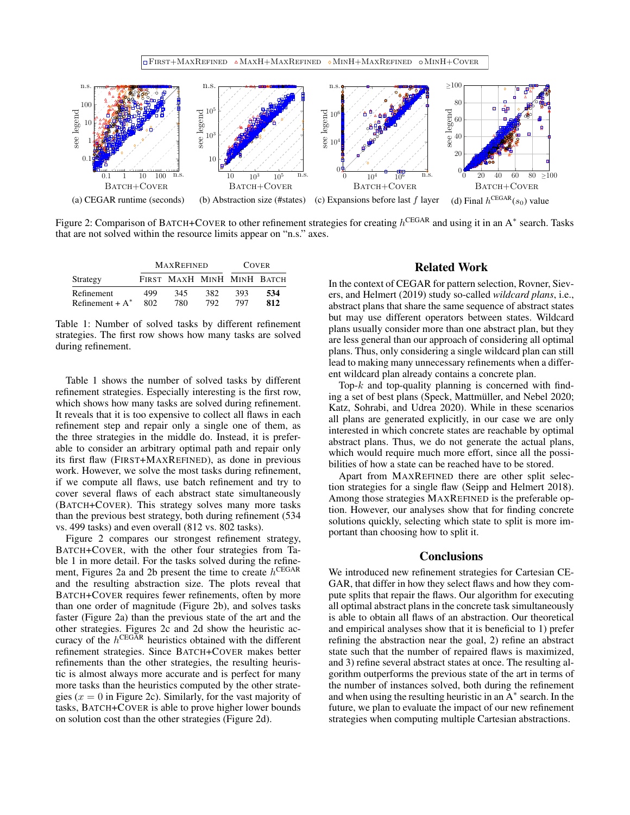

Figure 2: Comparison of BATCH+COVER to other refinement strategies for creating  $h^{\text{CEGAR}}$  and using it in an A $^*$  search. Tasks that are not solved within the resource limits appear on "n.s." axes.

| Strategy           | <b>MAXREFINED</b> |                            |     | <b>COVER</b> |     |
|--------------------|-------------------|----------------------------|-----|--------------|-----|
|                    |                   | FIRST MAXH MINH MINH BATCH |     |              |     |
| Refinement         | 499               | 345                        | 382 | 393          | 534 |
| Refinement + $A^*$ | 802               | 780                        | 792 | 797          | 812 |

Table 1: Number of solved tasks by different refinement strategies. The first row shows how many tasks are solved during refinement.

Table 1 shows the number of solved tasks by different refinement strategies. Especially interesting is the first row, which shows how many tasks are solved during refinement. It reveals that it is too expensive to collect all flaws in each refinement step and repair only a single one of them, as the three strategies in the middle do. Instead, it is preferable to consider an arbitrary optimal path and repair only its first flaw (FIRST+MAXREFINED), as done in previous work. However, we solve the most tasks during refinement, if we compute all flaws, use batch refinement and try to cover several flaws of each abstract state simultaneously (BATCH+COVER). This strategy solves many more tasks than the previous best strategy, both during refinement (534 vs. 499 tasks) and even overall (812 vs. 802 tasks).

Figure 2 compares our strongest refinement strategy, BATCH+COVER, with the other four strategies from Table 1 in more detail. For the tasks solved during the refinement, Figures 2a and 2b present the time to create  $h^{\text{CEGAR}}$ and the resulting abstraction size. The plots reveal that BATCH+COVER requires fewer refinements, often by more than one order of magnitude (Figure 2b), and solves tasks faster (Figure 2a) than the previous state of the art and the other strategies. Figures 2c and 2d show the heuristic accuracy of the  $h^{\text{CEGAR}}$  heuristics obtained with the different refinement strategies. Since BATCH+COVER makes better refinements than the other strategies, the resulting heuristic is almost always more accurate and is perfect for many more tasks than the heuristics computed by the other strategies ( $x = 0$  in Figure 2c). Similarly, for the vast majority of tasks, BATCH+COVER is able to prove higher lower bounds on solution cost than the other strategies (Figure 2d).

## Related Work

In the context of CEGAR for pattern selection, Rovner, Sievers, and Helmert (2019) study so-called *wildcard plans*, i.e., abstract plans that share the same sequence of abstract states but may use different operators between states. Wildcard plans usually consider more than one abstract plan, but they are less general than our approach of considering all optimal plans. Thus, only considering a single wildcard plan can still lead to making many unnecessary refinements when a different wildcard plan already contains a concrete plan.

Top- $k$  and top-quality planning is concerned with finding a set of best plans (Speck, Mattmüller, and Nebel 2020; Katz, Sohrabi, and Udrea 2020). While in these scenarios all plans are generated explicitly, in our case we are only interested in which concrete states are reachable by optimal abstract plans. Thus, we do not generate the actual plans, which would require much more effort, since all the possibilities of how a state can be reached have to be stored.

Apart from MAXREFINED there are other split selection strategies for a single flaw (Seipp and Helmert 2018). Among those strategies MAXREFINED is the preferable option. However, our analyses show that for finding concrete solutions quickly, selecting which state to split is more important than choosing how to split it.

## **Conclusions**

We introduced new refinement strategies for Cartesian CE-GAR, that differ in how they select flaws and how they compute splits that repair the flaws. Our algorithm for executing all optimal abstract plans in the concrete task simultaneously is able to obtain all flaws of an abstraction. Our theoretical and empirical analyses show that it is beneficial to 1) prefer refining the abstraction near the goal, 2) refine an abstract state such that the number of repaired flaws is maximized, and 3) refine several abstract states at once. The resulting algorithm outperforms the previous state of the art in terms of the number of instances solved, both during the refinement and when using the resulting heuristic in an  $A^*$  search. In the future, we plan to evaluate the impact of our new refinement strategies when computing multiple Cartesian abstractions.